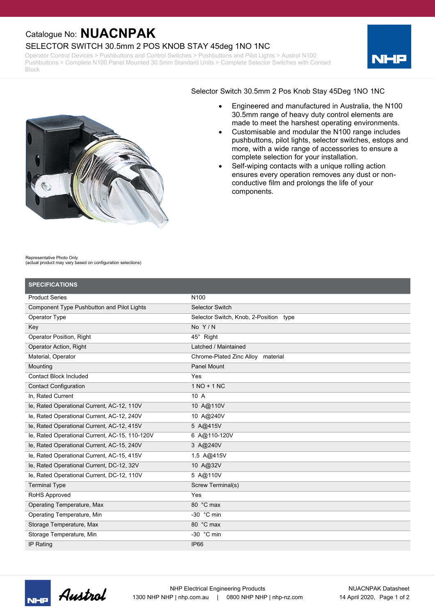## Catalogue No: **NUACNPAK**

### SELECTOR SWITCH 30.5mm 2 POS KNOB STAY 45deg 1NO 1NC

Operator Control Devices > Pushbuttons and Control Switches > Pushbuttons and Pilot Lights > Austrol N100 Pushbuttons > Complete N100 Panel Mounted 30.5mm Standard Units > Complete Selector Switches with Contact Block





#### Selector Switch 30.5mm 2 Pos Knob Stay 45Deg 1NO 1NC

- · Engineered and manufactured in Australia, the N100 30.5mm range of heavy duty control elements are made to meet the harshest operating environments.
- · Customisable and modular the N100 range includes pushbuttons, pilot lights, selector switches, estops and more, with a wide range of accessories to ensure a complete selection for your installation.
- Self-wiping contacts with a unique rolling action ensures every operation removes any dust or nonconductive film and prolongs the life of your components.

Representative Photo Only (actual product may vary based on configuration selections)

| <b>SPECIFICATIONS</b>                          |                                        |
|------------------------------------------------|----------------------------------------|
| <b>Product Series</b>                          | N <sub>100</sub>                       |
| Component Type Pushbutton and Pilot Lights     | <b>Selector Switch</b>                 |
| Operator Type                                  | Selector Switch, Knob, 2-Position type |
| Key                                            | No $Y/N$                               |
| <b>Operator Position, Right</b>                | 45° Right                              |
| <b>Operator Action, Right</b>                  | Latched / Maintained                   |
| Material, Operator                             | Chrome-Plated Zinc Alloy material      |
| Mounting                                       | Panel Mount                            |
| <b>Contact Block Included</b>                  | Yes                                    |
| <b>Contact Configuration</b>                   | $1 NQ + 1 NC$                          |
| In, Rated Current                              | 10 A                                   |
| le, Rated Operational Current, AC-12, 110V     | 10 A@110V                              |
| le, Rated Operational Current, AC-12, 240V     | 10 A@240V                              |
| le, Rated Operational Current, AC-12, 415V     | 5 A@415V                               |
| le, Rated Operational Current, AC-15, 110-120V | 6 A@110-120V                           |
| le, Rated Operational Current, AC-15, 240V     | 3 A@240V                               |
| le, Rated Operational Current, AC-15, 415V     | 1.5 A@415V                             |
| le, Rated Operational Current, DC-12, 32V      | 10 A@32V                               |
| le, Rated Operational Current, DC-12, 110V     | 5 A@110V                               |
| <b>Terminal Type</b>                           | Screw Terminal(s)                      |
| RoHS Approved                                  | Yes                                    |
| Operating Temperature, Max                     | 80 °C max                              |
| Operating Temperature, Min                     | -30 $°C$ min                           |
| Storage Temperature, Max                       | 80 °C max                              |
| Storage Temperature, Min                       | -30 °C min                             |
| IP Rating                                      | <b>IP66</b>                            |